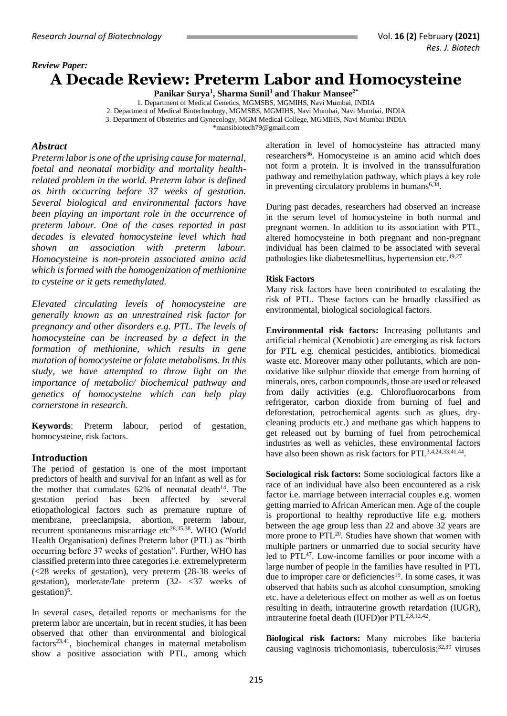### *Review Paper:*

# **A Decade Review: Preterm Labor and Homocysteine**

**Panikar Surya<sup>1</sup> , Sharma Sunil<sup>3</sup> and Thakur Mansee2\***

1. Department of Medical Genetics, MGMSBS, MGMIHS, Navi Mumbai, INDIA 2. Department of Medical Biotechnology, MGMSBS, MGMIHS, Navi Mumbai, Navi Mumbai, INDIA 3. Department of Obstetrics and Gynecology, MGM Medical College, MGMIHS, Navi Mumbai INDIA [\\*mansibiotech79@gmail.com](mailto:mansibiotech79@gmail.com)

#### *Abstract*

*Preterm labor is one of the uprising cause for maternal, foetal and neonatal morbidity and mortality healthrelated problem in the world. Preterm labor is defined as birth occurring before 37 weeks of gestation. Several biological and environmental factors have been playing an important role in the occurrence of preterm labour. One of the cases reported in past decades is elevated homocysteine level which had shown an association with preterm labour. Homocysteine is non-protein associated amino acid which is formed with the homogenization of methionine to cysteine or it gets remethylated.*

*Elevated circulating levels of homocysteine are generally known as an unrestrained risk factor for pregnancy and other disorders e.g. PTL. The levels of homocysteine can be increased by a defect in the formation of methionine, which results in gene mutation of homocysteine or folate metabolisms. In this study, we have attempted to throw light on the importance of metabolic/ biochemical pathway and genetics of homocysteine which can help play cornerstone in research.*

**Keywords**: Preterm labour, period of gestation, homocysteine, risk factors.

#### **Introduction**

The period of gestation is one of the most important predictors of health and survival for an infant as well as for the mother that cumulates  $62\%$  of neonatal death<sup>14</sup>. The gestation period has been affected by several etiopathological factors such as premature rupture of membrane, preeclampsia, abortion, preterm labour, recurrent spontaneous miscarriage etc<sup>28,35,38</sup>. WHO (World Health Organisation) defines Preterm labor (PTL) as "birth occurring before 37 weeks of gestation". Further, WHO has classified preterm into three categories i.e. extremelypreterm (<28 weeks of gestation), very preterm (28-38 weeks of gestation), moderate/late preterm  $(32 -  $\leq 37$  weeks of$ gestation)<sup>5</sup>.

In several cases, detailed reports or mechanisms for the preterm labor are uncertain, but in recent studies, it has been observed that other than environmental and biological  $factors<sup>23,41</sup>$ , biochemical changes in maternal metabolism show a positive association with PTL, among which

alteration in level of homocysteine has attracted many researchers<sup>36</sup>. Homocysteine is an amino acid which does not form a protein. It is involved in the transsulfuration pathway and remethylation pathway, which plays a key role in preventing circulatory problems in humans<sup>6,34</sup>.

During past decades, researchers had observed an increase in the serum level of homocysteine in both normal and pregnant women. In addition to its association with PTL, altered homocysteine in both pregnant and non-pregnant individual has been claimed to be associated with several pathologies like diabetesmellitus, hypertension etc.<sup>49,27</sup>

#### **Risk Factors**

Many risk factors have been contributed to escalating the risk of PTL. These factors can be broadly classified as environmental, biological sociological factors.

**Environmental risk factors:** Increasing pollutants and artificial chemical (Xenobiotic) are emerging as risk factors for PTL e.g. chemical pesticides, antibiotics, biomedical waste etc. Moreover many other pollutants, which are nonoxidative like sulphur dioxide that emerge from burning of minerals, ores, carbon compounds, those are used or released from daily activities (e.g. Chlorofluorocarbons from refrigerator, carbon dioxide from burning of fuel and deforestation, petrochemical agents such as glues, drycleaning products etc.) and methane gas which happens to get released out by burning of fuel from petrochemical industries as well as vehicles, these environmental factors have also been shown as risk factors for PTL<sup>3,4,24,33,41,44</sup>.

**Sociological risk factors:** Some sociological factors like a race of an individual have also been encountered as a risk factor i.e. marriage between interracial couples e.g. women getting married to African American men. Age of the couple is proportional to healthy reproductive life e.g. mothers between the age group less than 22 and above 32 years are more prone to PTL<sup>20</sup>. Studies have shown that women with multiple partners or unmarried due to social security have led to PTL<sup>47</sup>. Low-income families or poor income with a large number of people in the families have resulted in PTL due to improper care or deficiencies<sup>19</sup>. In some cases, it was observed that habits such as alcohol consumption, smoking etc. have a deleterious effect on mother as well as on foetus resulting in death, intrauterine growth retardation (IUGR), intrauterine foetal death (IUFD) or PTL<sup>2,8,12,42</sup>.

**Biological risk factors:** Many microbes like bacteria causing vaginosis trichomoniasis, tuberculosis;32,39 viruses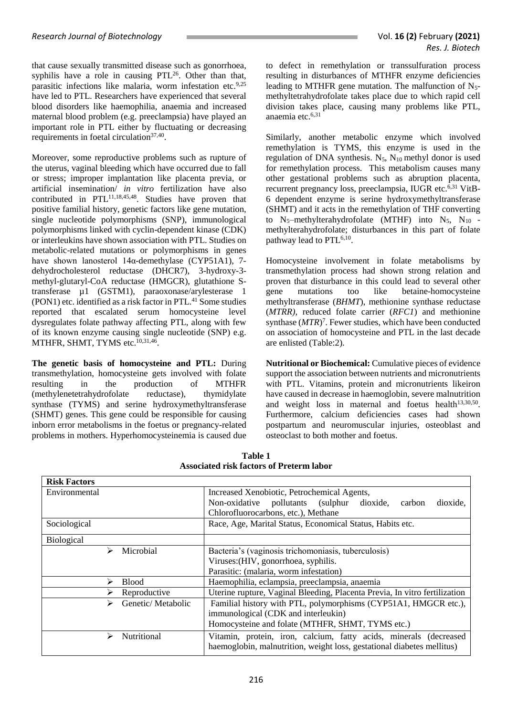that cause sexually transmitted disease such as gonorrhoea, syphilis have a role in causing  $PTL^{26}$ . Other than that, parasitic infections like malaria, worm infestation etc.<sup>9,25</sup> have led to PTL. Researchers have experienced that several blood disorders like haemophilia, anaemia and increased maternal blood problem (e.g. preeclampsia) have played an important role in PTL either by fluctuating or decreasing requirements in foetal circulation<sup>37,40</sup>.

Moreover, some reproductive problems such as rupture of the uterus, vaginal bleeding which have occurred due to fall or stress; improper implantation like placenta previa, or artificial insemination/ *in vitro* fertilization have also contributed in PTL<sup>11,18,45,48</sup>. Studies have proven that positive familial history, genetic factors like gene mutation, single nucleotide polymorphisms (SNP), immunological polymorphisms linked with cyclin-dependent kinase (CDK) or interleukins have shown association with PTL. Studies on metabolic-related mutations or polymorphisms in genes have shown lanosterol 14α-demethylase (CYP51A1), 7 dehydrocholesterol reductase (DHCR7), 3-hydroxy-3 methyl-glutaryl-CoA reductase (HMGCR), glutathione Stransferase µ1 (GSTM1), paraoxonase/arylesterase 1 (PON1) etc. identified as a risk factor in PTL. <sup>41</sup> Some studies reported that escalated serum homocysteine level dysregulates folate pathway affecting PTL, along with few of its known enzyme causing single nucleotide (SNP) e.g. MTHFR, SHMT, TYMS etc.<sup>10,31,46</sup>.

**The genetic basis of homocysteine and PTL:** During transmethylation, homocysteine gets involved with folate resulting in the production of MTHFR (methylenetetrahydrofolate reductase), thymidylate synthase (TYMS) and serine hydroxymethyltransferase (SHMT) genes. This gene could be responsible for causing inborn error metabolisms in the foetus or pregnancy-related problems in mothers. Hyperhomocysteinemia is caused due to defect in remethylation or transsulfuration process resulting in disturbances of MTHFR enzyme deficiencies leading to MTHFR gene mutation. The malfunction of  $N_5$ methyltetrahydrofolate takes place due to which rapid cell division takes place, causing many problems like PTL, anaemia etc. 6,31

Similarly, another metabolic enzyme which involved remethylation is TYMS, this enzyme is used in the regulation of DNA synthesis.  $N_5$ ,  $N_{10}$  methyl donor is used for remethylation process. This metabolism causes many other gestational problems such as abruption placenta, recurrent pregnancy loss, preeclampsia, IUGR etc.<sup>6,31</sup> VitB-6 dependent enzyme is serine hydroxymethyltransferase (SHMT) and it acts in the remethylation of THF converting to  $N_5$ -methylterahydrofolate (MTHF) into  $N_5$ ,  $N_{10}$  methylterahydrofolate; disturbances in this part of folate pathway lead to PTL<sup>6,10</sup>.

Homocysteine involvement in folate metabolisms by transmethylation process had shown strong relation and proven that disturbance in this could lead to several other gene mutations too like betaine-homocysteine methyltransferase (*BHMT*), methionine synthase reductase (*MTRR),* reduced folate carrier (*RFC1*) and methionine synthase (MTR)<sup>7</sup>. Fewer studies, which have been conducted on association of homocysteine and PTL in the last decade are enlisted (Table:2).

**Nutritional or Biochemical:** Cumulative pieces of evidence support the association between nutrients and micronutrients with PTL. Vitamins, protein and micronutrients likeiron have caused in decrease in haemoglobin, severe malnutrition and weight loss in maternal and foetus health<sup>13,30,50</sup>. Furthermore, calcium deficiencies cases had shown postpartum and neuromuscular injuries, osteoblast and osteoclast to both mother and foetus.

| <b>Risk Factors</b>                    |                                                                                                                                                                                                                                          |  |
|----------------------------------------|------------------------------------------------------------------------------------------------------------------------------------------------------------------------------------------------------------------------------------------|--|
| Environmental                          | Increased Xenobiotic, Petrochemical Agents,<br>Non-oxidative pollutants (sulphur<br>dioxide,<br>dioxide,<br>carbon<br>Chlorofluorocarbons, etc.), Methane                                                                                |  |
| Sociological                           | Race, Age, Marital Status, Economical Status, Habits etc.                                                                                                                                                                                |  |
| <b>Biological</b>                      |                                                                                                                                                                                                                                          |  |
| Microbial<br>⋗                         | Bacteria's (vaginosis trichomoniasis, tuberculosis)<br>Viruses: (HIV, gonorrhoea, syphilis.<br>Parasitic: (malaria, worm infestation)                                                                                                    |  |
| <b>Blood</b>                           | Haemophilia, eclampsia, preeclampsia, anaemia                                                                                                                                                                                            |  |
| Reproductive<br>Genetic/Metabolic<br>⋗ | Uterine rupture, Vaginal Bleeding, Placenta Previa, In vitro fertilization<br>Familial history with PTL, polymorphisms (CYP51A1, HMGCR etc.),<br>immunological (CDK and interleukin)<br>Homocysteine and folate (MTHFR, SHMT, TYMS etc.) |  |
| Nutritional<br>⋗                       | Vitamin, protein, iron, calcium, fatty acids, minerals (decreased<br>haemoglobin, malnutrition, weight loss, gestational diabetes mellitus)                                                                                              |  |

**Table 1 Associated risk factors of Preterm labor**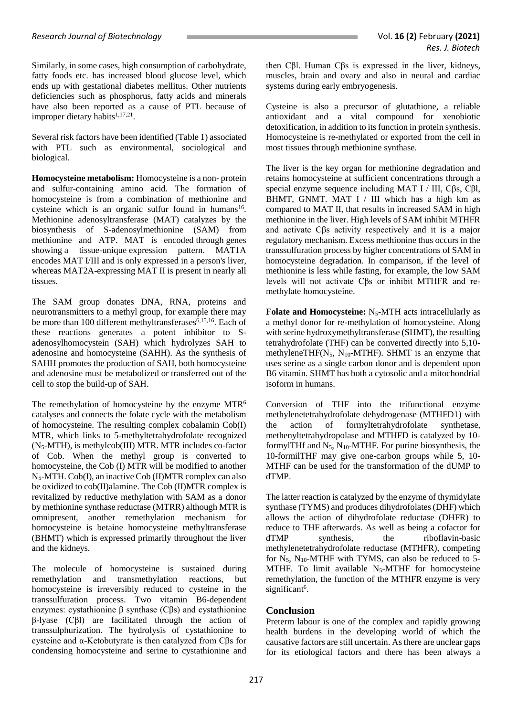Similarly, in some cases, high consumption of carbohydrate, fatty foods etc. has increased blood glucose level, which ends up with gestational diabetes mellitus. Other nutrients deficiencies such as phosphorus, fatty acids and minerals have also been reported as a cause of PTL because of improper dietary habits<sup>1,17,21</sup>.

Several risk factors have been identified (Table 1) associated with PTL such as environmental, sociological and biological.

**Homocysteine metabolism:** Homocysteine is a non- protein and sulfur-containing amino acid. The formation of homocysteine is from a combination of methionine and cysteine which is an organic sulfur found in humans<sup>16</sup>. Methionine adenosyltransferase (MAT) catalyzes by the biosynthesis of S-adenosylmethionine (SAM) from methionine and ATP. MAT is encoded through genes showing a tissue-unique expression pattern. MAT1A encodes MAT I/III and is only expressed in a person's liver, whereas MAT2A-expressing MAT II is present in nearly all tissues.

The SAM group donates DNA, RNA, proteins and neurotransmitters to a methyl group, for example there may be more than 100 different methyltransferases<sup>6,15,16</sup>. Each of these reactions generates a potent inhibitor to Sadenosylhomocystein (SAH) which hydrolyzes SAH to adenosine and homocysteine (SAHH). As the synthesis of SAHH promotes the production of SAH, both homocysteine and adenosine must be metabolized or transferred out of the cell to stop the build-up of SAH.

The remethylation of homocysteine by the enzyme MTR<sup>6</sup> catalyses and connects the folate cycle with the metabolism of homocysteine. The resulting complex cobalamin Cob(I) MTR, which links to 5-methyltetrahydrofolate recognized (N5-MTH), is methylcob(III) MTR. MTR includes co-factor of Cob. When the methyl group is converted to homocysteine, the Cob (I) MTR will be modified to another N5-MTH. Cob(I), an inactive Cob (II)MTR complex can also be oxidized to cob(II)alamine. The Cob (II)MTR complex is revitalized by reductive methylation with SAM as a donor by methionine synthase reductase (MTRR) although MTR is omnipresent, another remethylation mechanism for homocysteine is betaine homocysteine methyltransferase (BHMT) which is expressed primarily throughout the liver and the kidneys.

The molecule of homocysteine is sustained during remethylation and transmethylation reactions, but homocysteine is irreversibly reduced to cysteine in the transsulfuration process. Two vitamin B6-dependent enzymes: cystathionine β synthase (Cβs) and cystathionine β-lyase (Cβl) are facilitated through the action of transsulphurization. The hydrolysis of cystathionine to cysteine and α-Ketobutyrate is then catalyzed from Cβs for condensing homocysteine and serine to cystathionine and

then Cβl. Human Cβs is expressed in the liver, kidneys, muscles, brain and ovary and also in neural and cardiac systems during early embryogenesis.

Cysteine is also a precursor of glutathione, a reliable antioxidant and a vital compound for xenobiotic detoxification, in addition to its function in protein synthesis. Homocysteine is re-methylated or exported from the cell in most tissues through methionine synthase.

The liver is the key organ for methionine degradation and retains homocysteine at sufficient concentrations through a special enzyme sequence including MAT I / III, Cβs, Cβl, BHMT, GNMT. MAT I / III which has a high km as compared to MAT II, that results in increased SAM in high methionine in the liver. High levels of SAM inhibit MTHFR and activate Cβs activity respectively and it is a major regulatory mechanism. Excess methionine thus occurs in the transsulfuration process by higher concentrations of SAM in homocysteine degradation. In comparison, if the level of methionine is less while fasting, for example, the low SAM levels will not activate Cβs or inhibit MTHFR and remethylate homocysteine.

Folate and Homocysteine: N<sub>5</sub>-MTH acts intracellularly as a methyl donor for re-methylation of homocysteine. Along with serine hydroxymethyltransferase (SHMT), the resulting tetrahydrofolate (THF) can be converted directly into 5,10 methyleneTHF( $N_5$ ,  $N_{10}$ -MTHF). SHMT is an enzyme that uses serine as a single carbon donor and is dependent upon B6 vitamin. SHMT has both a cytosolic and a mitochondrial isoform in humans.

Conversion of THF into the trifunctional enzyme methylenetetrahydrofolate dehydrogenase (MTHFD1) with the action of formyltetrahydrofolate synthetase, methenyltetrahydropolase and MTHFD is catalyzed by 10 formylTHf and  $N_5$ ,  $N_{10}$ -MTHF. For purine biosynthesis, the 10-formilTHF may give one-carbon groups while 5, 10- MTHF can be used for the transformation of the dUMP to dTMP.

The latter reaction is catalyzed by the enzyme of thymidylate synthase (TYMS) and produces dihydrofolates (DHF) which allows the action of dihydrofolate reductase (DHFR) to reduce to THF afterwards. As well as being a cofactor for dTMP synthesis, the riboflavin-basic methylenetetrahydrofolate reductase (MTHFR), competing for  $N_5$ ,  $N_{10}$ -MTHF with TYMS, can also be reduced to 5-MTHF. To limit available N<sub>5</sub>-MTHF for homocysteine remethylation, the function of the MTHFR enzyme is very significant<sup>6</sup>.

## **Conclusion**

Preterm labour is one of the complex and rapidly growing health burdens in the developing world of which the causative factors are still uncertain. As there are unclear gaps for its etiological factors and there has been always a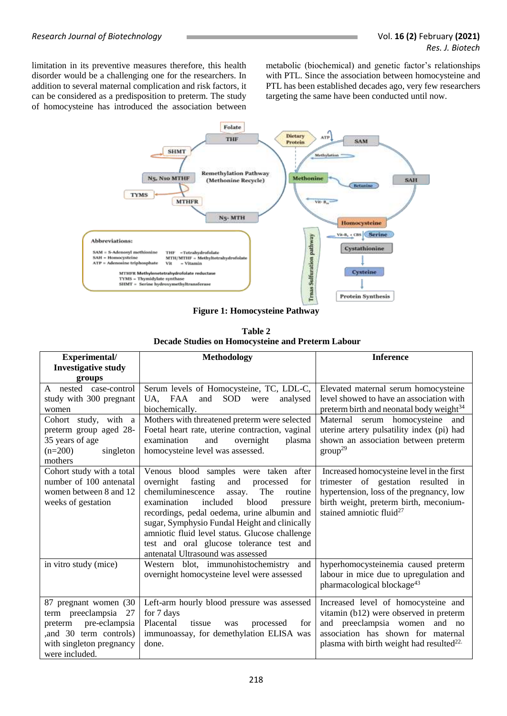limitation in its preventive measures therefore, this health disorder would be a challenging one for the researchers. In addition to several maternal complication and risk factors, it can be considered as a predisposition to preterm. The study of homocysteine has introduced the association between metabolic (biochemical) and genetic factor's relationships with PTL. Since the association between homocysteine and PTL has been established decades ago, very few researchers targeting the same have been conducted until now.



**Figure 1: Homocysteine Pathway**

**Table 2 Decade Studies on Homocysteine and Preterm Labour**

| Experimental/              | <b>Methodology</b>                                  | <b>Inference</b>                                     |
|----------------------------|-----------------------------------------------------|------------------------------------------------------|
| <b>Investigative study</b> |                                                     |                                                      |
| groups                     |                                                     |                                                      |
| A nested case-control      | Serum levels of Homocysteine, TC, LDL-C,            | Elevated maternal serum homocysteine                 |
| study with 300 pregnant    | <b>SOD</b><br>UA.<br>FAA<br>and<br>analysed<br>were | level showed to have an association with             |
| women                      | biochemically.                                      | preterm birth and neonatal body weight <sup>34</sup> |
| Cohort study, with a       | Mothers with threatened preterm were selected       | Maternal serum homocysteine and                      |
| preterm group aged 28-     | Foetal heart rate, uterine contraction, vaginal     | uterine artery pulsatility index (pi) had            |
| 35 years of age            | examination<br>and<br>overnight<br>plasma           | shown an association between preterm                 |
| $(n=200)$<br>singleton     | homocysteine level was assessed.                    | $group^{29}$                                         |
| mothers                    |                                                     |                                                      |
| Cohort study with a total  | Venous blood samples were taken after               | Increased homocysteine level in the first            |
| number of 100 antenatal    | fasting<br>overnight<br>and<br>for<br>processed     | trimester of gestation resulted in                   |
| women between 8 and 12     | chemiluminescence<br>The<br>routine<br>assay.       | hypertension, loss of the pregnancy, low             |
| weeks of gestation         | included<br>blood<br>examination<br>pressure        | birth weight, preterm birth, meconium-               |
|                            | recordings, pedal oedema, urine albumin and         | stained amniotic fluid <sup>27</sup>                 |
|                            | sugar, Symphysio Fundal Height and clinically       |                                                      |
|                            | amniotic fluid level status. Glucose challenge      |                                                      |
|                            | test and oral glucose tolerance test and            |                                                      |
|                            | antenatal Ultrasound was assessed                   |                                                      |
| in vitro study (mice)      | Western blot, immunohistochemistry<br>and           | hyperhomocysteinemia caused preterm                  |
|                            | overnight homocysteine level were assessed          | labour in mice due to upregulation and               |
|                            |                                                     | pharmacological blockage <sup>43</sup>               |
| 87 pregnant women (30)     | Left-arm hourly blood pressure was assessed         | Increased level of homocysteine and                  |
| term preeclampsia<br>27    | for 7 days                                          | vitamin (b12) were observed in preterm               |
| pre-eclampsia<br>preterm   | Placental<br>tissue<br>for<br>processed<br>was      | preeclampsia women<br>and<br>and no                  |
| and 30 term controls)      | immunoassay, for demethylation ELISA was            | association has shown for maternal                   |
| with singleton pregnancy   | done.                                               | plasma with birth weight had resulted <sup>22.</sup> |
| were included.             |                                                     |                                                      |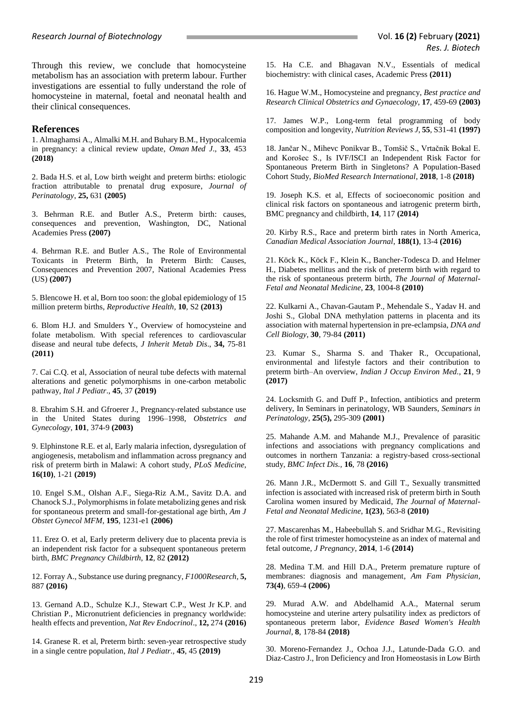Through this review, we conclude that homocysteine metabolism has an association with preterm labour. Further investigations are essential to fully understand the role of homocysteine in maternal, foetal and neonatal health and their clinical consequences.

#### **References**

1. Almaghamsi A., Almalki M.H. and Buhary B.M., Hypocalcemia in pregnancy: a clinical review update, *Oman Med J*., **33**, 453 **(2018)**

2. Bada H.S. et al, Low birth weight and preterm births: etiologic fraction attributable to prenatal drug exposure, *Journal of Perinatology*, **25,** 631 **(2005)**

3. Behrman R.E. and Butler A.S., Preterm birth: causes, consequences and prevention, Washington, DC, National Academies Press **(2007)**

4. Behrman R.E. and Butler A.S., The Role of Environmental Toxicants in Preterm Birth, In Preterm Birth: Causes, Consequences and Prevention 2007, National Academies Press (US) **(2007)**

5. Blencowe H. et al, Born too soon: the global epidemiology of 15 million preterm births, *Reproductive Health,* **10**, S2 **(2013)**

6. Blom H.J. and Smulders Y., Overview of homocysteine and folate metabolism. With special references to cardiovascular disease and neural tube defects, *J Inherit Metab Dis*., **34,** 75-81 **(2011)**

7. Cai C.Q. et al, Association of neural tube defects with maternal alterations and genetic polymorphisms in one-carbon metabolic pathway, *Ital J Pediatr*., **45**, 37 **(2019)**

8. Ebrahim S.H. and Gfroerer J., Pregnancy-related substance use in the United States during 1996–1998, *Obstetrics and Gynecology*, **101**, 374-9 **(2003)**

9. Elphinstone R.E. et al, Early malaria infection, dysregulation of angiogenesis, metabolism and inflammation across pregnancy and risk of preterm birth in Malawi: A cohort study, *PLoS Medicine*, **16(10)**, 1-21 **(2019)**

10. Engel S.M., Olshan A.F., Siega-Riz A.M., Savitz D.A. and Chanock S.J., Polymorphisms in folate metabolizing genes and risk for spontaneous preterm and small-for-gestational age birth*, Am J Obstet Gynecol MFM*, **195**, 1231-e1 **(2006)**

11. Erez O. et al, Early preterm delivery due to placenta previa is an independent risk factor for a subsequent spontaneous preterm birth, *BMC Pregnancy Childbirth*, **12**, 82 **(2012)**

12. Forray A., Substance use during pregnancy, *F1000Research,* **5,**  887 **(2016)**

13. Gernand A.D., Schulze K.J., Stewart C.P., West Jr K.P. and Christian P., Micronutrient deficiencies in pregnancy worldwide: health effects and prevention, *Nat Rev Endocrinol*., **12,** 274 **(2016)**

14. Granese R. et al, Preterm birth: seven-year retrospective study in a single centre population, *Ital J Pediatr.,* **45**, 45 **(2019)**

15. Ha C.E. and Bhagavan N.V., Essentials of medical biochemistry: with clinical cases, Academic Press **(2011)**

16. Hague W.M., Homocysteine and pregnancy, *Best practice and Research Clinical Obstetrics and Gynaecology*, **17**, 459-69 **(2003)**

17. James W.P., Long-term fetal programming of body composition and longevity, *Nutrition Reviews J*, **55**, S31-41 **(1997)**

18. Jančar N., Mihevc Ponikvar B., Tomšič S., Vrtačnik Bokal E. and Korošec S., Is IVF/ISCI an Independent Risk Factor for Spontaneous Preterm Birth in Singletons? A Population-Based Cohort Study, *BioMed Research International*, **2018**, 1-8 **(2018)**

19. Joseph K.S. et al, Effects of socioeconomic position and clinical risk factors on spontaneous and iatrogenic preterm birth, BMC pregnancy and childbirth, **14**, 117 **(2014)**

20. Kirby R.S., Race and preterm birth rates in North America, *Canadian Medical Association Journal*, **188(1)**, 13-4 **(2016)**

21. Köck K., Köck F., Klein K., Bancher-Todesca D. and Helmer H., Diabetes mellitus and the risk of preterm birth with regard to the risk of spontaneous preterm birth, *The Journal of Maternal-Fetal and Neonatal Medicine*, **23**, 1004-8 **(2010)**

22. Kulkarni A., Chavan-Gautam P., Mehendale S., Yadav H. and Joshi S., Global DNA methylation patterns in placenta and its association with maternal hypertension in pre-eclampsia, *DNA and Cell Biology*, **30**, 79-84 **(2011)**

23. Kumar S., Sharma S. and Thaker R., Occupational, environmental and lifestyle factors and their contribution to preterm birth–An overview, *Indian J Occup Environ Med.,* **21**, 9 **(2017)**

24. Locksmith G. and Duff P., Infection, antibiotics and preterm delivery, In Seminars in perinatology, WB Saunders, *Seminars in Perinatology*, **25(5),** 295-309 **(2001)**

25. Mahande A.M. and Mahande M.J., Prevalence of parasitic infections and associations with pregnancy complications and outcomes in northern Tanzania: a registry-based cross-sectional study, *BMC Infect Dis.,* **16**, 78 **(2016)**

26. Mann J.R., McDermott S. and Gill T., Sexually transmitted infection is associated with increased risk of preterm birth in South Carolina women insured by Medicaid, *The Journal of Maternal-Fetal and Neonatal Medicine*, **1(23)**, 563-8 **(2010)**

27. Mascarenhas M., Habeebullah S. and Sridhar M.G., Revisiting the role of first trimester homocysteine as an index of maternal and fetal outcome, *J Pregnancy*, **2014**, 1-6 **(2014)**

28. Medina T.M. and Hill D.A., Preterm premature rupture of membranes: diagnosis and management, *Am Fam Physician,* **73(4)**, 659-4 **(2006)**

29. Murad A.W. and Abdelhamid A.A., Maternal serum homocysteine and uterine artery pulsatility index as predictors of spontaneous preterm labor, *Evidence Based Women's Health Journal*, **8**, 178-84 **(2018)**

30. Moreno-Fernandez J., Ochoa J.J., Latunde-Dada G.O. and Diaz-Castro J., Iron Deficiency and Iron Homeostasis in Low Birth